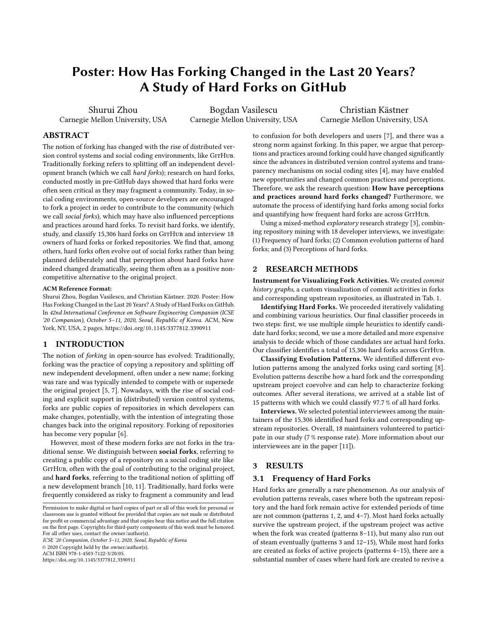# Poster: How Has Forking Changed in the Last 20 Years? A Study of Hard Forks on GitHub

Shurui Zhou Carnegie Mellon University, USA

Bogdan Vasilescu Carnegie Mellon University, USA

Christian Kästner Carnegie Mellon University, USA

## ABSTRACT

The notion of forking has changed with the rise of distributed version control systems and social coding environments, like GITHUB. Traditionally forking refers to splitting off an independent development branch (which we call hard forks); research on hard forks, conducted mostly in pre-GitHub days showed that hard forks were often seen critical as they may fragment a community. Today, in social coding environments, open-source developers are encouraged to fork a project in order to contribute to the community (which we call social forks), which may have also influenced perceptions and practices around hard forks. To revisit hard forks, we identify, study, and classify 15,306 hard forks on GITHUB and interview 18 owners of hard forks or forked repositories. We find that, among others, hard forks often evolve out of social forks rather than being planned deliberately and that perception about hard forks have indeed changed dramatically, seeing them often as a positive noncompetitive alternative to the original project.

#### ACM Reference Format:

Shurui Zhou, Bogdan Vasilescu, and Christian Kästner. 2020. Poster: How Has Forking Changed in the Last 20 Years? A Study of Hard Forks on GitHub. In 42nd International Conference on Software Engineering Companion (ICSE '20 Companion), October 5–11, 2020, Seoul, Republic of Korea. ACM, New York, NY, USA, [2](#page-1-0) pages. https://doi.org/10.[1145/3377812](https://doi.org/10.1145/3377812.3390911).<sup>3390911</sup>

## 1 INTRODUCTION

The notion of forking in open-source has evolved: Traditionally, forking was the practice of copying a repository and splitting off new independent development, often under a new name; forking was rare and was typically intended to compete with or supersede the original project [\[5,](#page-1-1) [7\]](#page-1-2). Nowadays, with the rise of social coding and explicit support in (distributed) version control systems, forks are public copies of repositories in which developers can make changes, potentially, with the intention of integrating those changes back into the original repository. Forking of repositories has become very popular [\[6\]](#page-1-3).

However, most of these modern forks are not forks in the traditional sense. We distinguish between social forks, referring to creating a public copy of a repository on a social coding site like GITHUB, often with the goal of contributing to the original project, and hard forks, referring to the traditional notion of splitting off a new development branch [\[10,](#page-1-4) [11\]](#page-1-5). Traditionally, hard forks were frequently considered as risky to fragment a community and lead

ICSE '20 Companion, October 5–11, 2020, Seoul, Republic of Korea © 2020 Copyright held by the owner/author(s).

ACM ISBN 978-1-4503-7122-3/20/05.

https://doi.org/10.[1145/3377812](https://doi.org/10.1145/3377812.3390911).<sup>3390911</sup>

to confusion for both developers and users [\[7\]](#page-1-2), and there was a strong norm against forking. In this paper, we argue that perceptions and practices around forking could have changed significantly since the advances in distributed version control systems and transparency mechanisms on social coding sites [\[4\]](#page-1-6), may have enabled new opportunities and changed common practices and perceptions. Therefore, we ask the research question: How have perceptions and practices around hard forks changed? Furthermore, we automate the process of identifying hard forks among social forks and quantifying how frequent hard forks are across GITHUB.

Using a mixed-method exploratory research strategy [\[3\]](#page-1-7), combining repository mining with 18 developer interviews, we investigate: (1) Frequency of hard forks; (2) Common evolution patterns of hard forks; and (3) Perceptions of hard forks.

#### 2 RESEARCH METHODS

Instrument for Visualizing Fork Activities. We created commit history graphs, a custom visualization of commit activities in forks and corresponding upstream repositories, as illustrated in Tab. [1.](#page-1-8)

Identifying Hard Forks. We proceeded iteratively validating and combining various heuristics. Our final classifier proceeds in two steps: first, we use multiple simple heuristics to identify candidate hard forks; second, we use a more detailed and more expensive analysis to decide which of those candidates are actual hard forks. Our classifier identifies a total of 15,306 hard forks across GITHUB.

Classifying Evolution Patterns. We identified different evolution patterns among the analyzed forks using card sorting [\[8\]](#page-1-9). Evolution patterns describe how a hard fork and the corresponding upstream project coevolve and can help to characterize forking outcomes. After several iterations, we arrived at a stable list of 15 patterns with which we could classify 97.7 % of all hard forks.

Interviews. We selected potential interviewees among the maintainers of the 15,306 identified hard forks and corresponding upstream repositories. Overall, 18 maintainers volunteered to participate in our study (7 % response rate). More information about our interviewees are in the paper [\[11\]](#page-1-5)).

## 3 RESULTS

#### 3.1 Frequency of Hard Forks

Hard forks are generally a rare phenomenon. As our analysis of evolution patterns reveals, cases where both the upstream repository and the hard fork remain active for extended periods of time are not common (patterns 1, 2, and 4–7). Most hard forks actually survive the upstream project, if the upstream project was active when the fork was created (patterns 8–11), but many also run out of steam eventually (patterns 3 and 12–15), While most hard forks are created as forks of active projects (patterns 4–15), there are a substantial number of cases where hard fork are created to revive a

Permission to make digital or hard copies of part or all of this work for personal or classroom use is granted without fee provided that copies are not made or distributed for profit or commercial advantage and that copies bear this notice and the full citation on the first page. Copyrights for third-party components of this work must be honored. For all other uses, contact the owner/author(s).